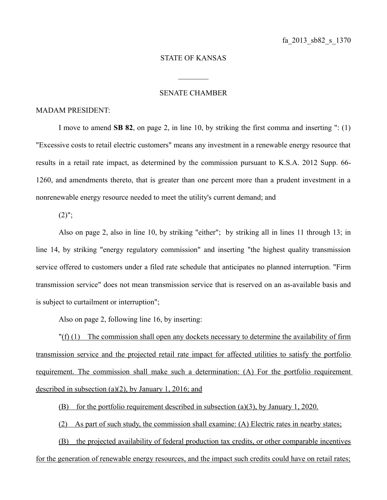## STATE OF KANSAS

 $\frac{1}{2}$ 

## SENATE CHAMBER

## MADAM PRESIDENT:

I move to amend **SB 82**, on page 2, in line 10, by striking the first comma and inserting ": (1) "Excessive costs to retail electric customers" means any investment in a renewable energy resource that results in a retail rate impact, as determined by the commission pursuant to K.S.A. 2012 Supp. 66- 1260, and amendments thereto, that is greater than one percent more than a prudent investment in a nonrenewable energy resource needed to meet the utility's current demand; and

 $(2)$ ";

Also on page 2, also in line 10, by striking "either"; by striking all in lines 11 through 13; in line 14, by striking "energy regulatory commission" and inserting "the highest quality transmission service offered to customers under a filed rate schedule that anticipates no planned interruption. "Firm transmission service" does not mean transmission service that is reserved on an as-available basis and is subject to curtailment or interruption";

Also on page 2, following line 16, by inserting:

 $\Gamma(f)(1)$  The commission shall open any dockets necessary to determine the availability of firm transmission service and the projected retail rate impact for affected utilities to satisfy the portfolio requirement. The commission shall make such a determination: (A) For the portfolio requirement described in subsection (a)(2), by January 1, 2016; and

(B) for the portfolio requirement described in subsection (a)(3), by January 1, 2020.

(2) As part of such study, the commission shall examine: (A) Electric rates in nearby states;

(B) the projected availability of federal production tax credits, or other comparable incentives for the generation of renewable energy resources, and the impact such credits could have on retail rates;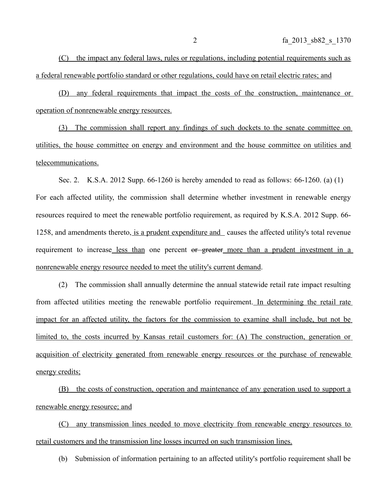(C) the impact any federal laws, rules or regulations, including potential requirements such as a federal renewable portfolio standard or other regulations, could have on retail electric rates; and

 ( D) any federal requirements that impact the costs of the construction, maintenance or operation of nonrenewable energy resources.

(3) The commission shall report any findings of such dockets to the senate committee on utilities, the house committee on energy and environment and the house committee on utilities and telecommunications.

Sec. 2. K.S.A. 2012 Supp. 66-1260 is hereby amended to read as follows: 66-1260. (a) (1) For each affected utility, the commission shall determine whether investment in renewable energy resources required to meet the renewable portfolio requirement, as required by K.S.A. 2012 Supp. 66- 1258, and amendments thereto, is a prudent expenditure and causes the affected utility's total revenue requirement to increase less than one percent or greater more than a prudent investment in a nonrenewable energy resource needed to meet the utility's current demand.

(2) The commission shall annually determine the annual statewide retail rate impact resulting from affected utilities meeting the renewable portfolio requirement. In determining the retail rate impact for an affected utility, the factors for the commission to examine shall include, but not be limited to, the costs incurred by Kansas retail customers for: (A) The construction, generation or acquisition of electricity generated from renewable energy resources or the purchase of renewable energy credits;

(B) the costs of construction, operation and maintenance of any generation used to support a renewable energy resource; and

(C) any transmission lines needed to move electricity from renewable energy resources to retail customers and the transmission line losses incurred on such transmission lines.

(b) Submission of information pertaining to an affected utility's portfolio requirement shall be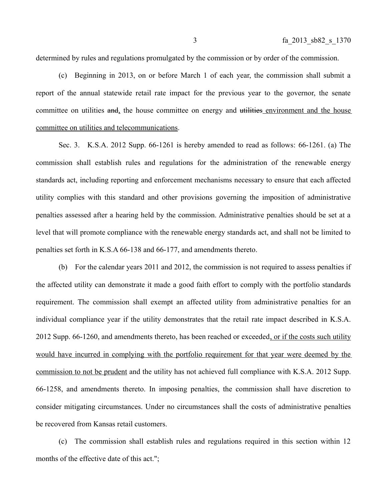determined by rules and regulations promulgated by the commission or by order of the commission.

(c) Beginning in 2013, on or before March 1 of each year, the commission shall submit a report of the annual statewide retail rate impact for the previous year to the governor, the senate committee on utilities and, the house committee on energy and utilities environment and the house committee on utilities and telecommunications.

Sec. 3. K.S.A. 2012 Supp. 66-1261 is hereby amended to read as follows: 66-1261. (a) The commission shall establish rules and regulations for the administration of the renewable energy standards act, including reporting and enforcement mechanisms necessary to ensure that each affected utility complies with this standard and other provisions governing the imposition of administrative penalties assessed after a hearing held by the commission. Administrative penalties should be set at a level that will promote compliance with the renewable energy standards act, and shall not be limited to penalties set forth in K.S.A 66-138 and 66-177, and amendments thereto.

(b) For the calendar years 2011 and 2012, the commission is not required to assess penalties if the affected utility can demonstrate it made a good faith effort to comply with the portfolio standards requirement. The commission shall exempt an affected utility from administrative penalties for an individual compliance year if the utility demonstrates that the retail rate impact described in K.S.A. 2012 Supp. 66-1260, and amendments thereto, has been reached or exceeded, or if the costs such utility would have incurred in complying with the portfolio requirement for that year were deemed by the commission to not be prudent and the utility has not achieved full compliance with K.S.A. 2012 Supp. 66-1258, and amendments thereto. In imposing penalties, the commission shall have discretion to consider mitigating circumstances. Under no circumstances shall the costs of administrative penalties be recovered from Kansas retail customers.

(c) The commission shall establish rules and regulations required in this section within 12 months of the effective date of this act.";